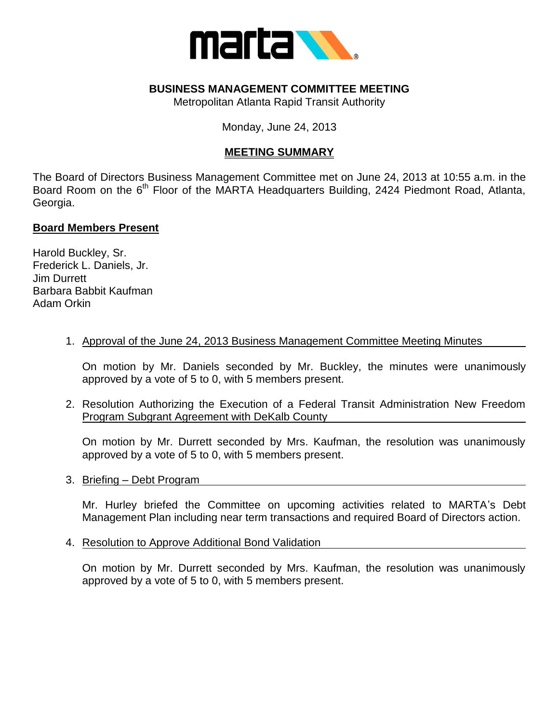

### **BUSINESS MANAGEMENT COMMITTEE MEETING**

Metropolitan Atlanta Rapid Transit Authority

Monday, June 24, 2013

## **MEETING SUMMARY**

The Board of Directors Business Management Committee met on June 24, 2013 at 10:55 a.m. in the Board Room on the  $6<sup>th</sup>$  Floor of the MARTA Headquarters Building, 2424 Piedmont Road, Atlanta, Georgia.

#### **Board Members Present**

Harold Buckley, Sr. Frederick L. Daniels, Jr. Jim Durrett Barbara Babbit Kaufman Adam Orkin

#### 1. Approval of the June 24, 2013 Business Management Committee Meeting Minutes

On motion by Mr. Daniels seconded by Mr. Buckley, the minutes were unanimously approved by a vote of 5 to 0, with 5 members present.

2. Resolution Authorizing the Execution of a Federal Transit Administration New Freedom Program Subgrant Agreement with DeKalb County

On motion by Mr. Durrett seconded by Mrs. Kaufman, the resolution was unanimously approved by a vote of 5 to 0, with 5 members present.

3. Briefing – Debt Program

Mr. Hurley briefed the Committee on upcoming activities related to MARTA's Debt Management Plan including near term transactions and required Board of Directors action.

4. Resolution to Approve Additional Bond Validation

On motion by Mr. Durrett seconded by Mrs. Kaufman, the resolution was unanimously approved by a vote of 5 to 0, with 5 members present.